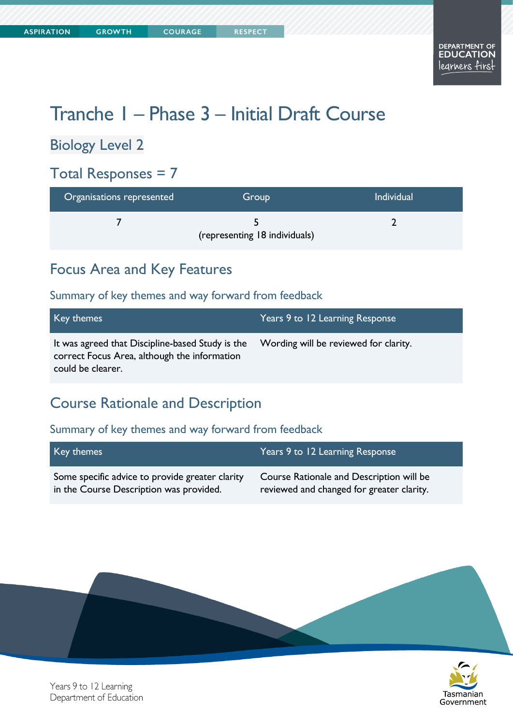# Tranche 1 – Phase 3 – Initial Draft Course

### Biology Level 2

# Total Responses = 7

| Organisations represented | Group                         | <b>Individual</b> |
|---------------------------|-------------------------------|-------------------|
|                           | (representing 18 individuals) |                   |

### Focus Area and Key Features

#### Summary of key themes and way forward from feedback

| Key themes                                                                                                            | Years 9 to 12 Learning Response       |
|-----------------------------------------------------------------------------------------------------------------------|---------------------------------------|
| It was agreed that Discipline-based Study is the<br>correct Focus Area, although the information<br>could be clearer. | Wording will be reviewed for clarity. |

### Course Rationale and Description

#### Summary of key themes and way forward from feedback

| Key themes                                      | Years 9 to 12 Learning Response           |
|-------------------------------------------------|-------------------------------------------|
| Some specific advice to provide greater clarity | Course Rationale and Description will be  |
| in the Course Description was provided.         | reviewed and changed for greater clarity. |





Years 9 to 12 Learning Department of Education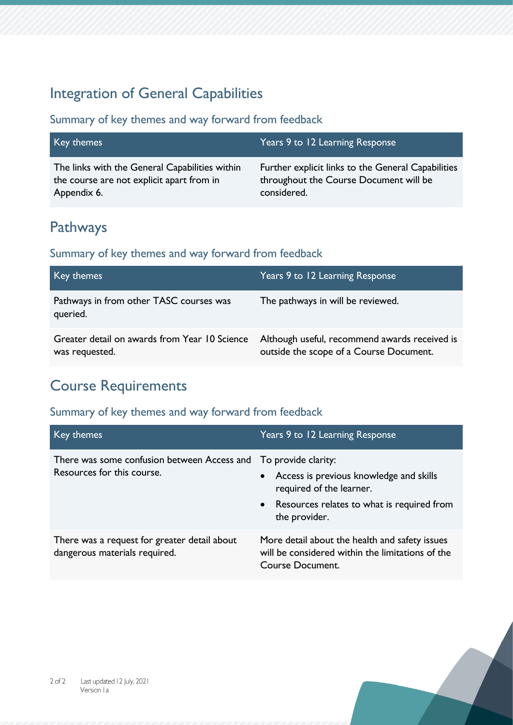### Integration of General Capabilities

#### Summary of key themes and way forward from feedback

| Key themes                                     | Years 9 to 12 Learning Response                    |
|------------------------------------------------|----------------------------------------------------|
| The links with the General Capabilities within | Further explicit links to the General Capabilities |
| the course are not explicit apart from in      | throughout the Course Document will be             |
| Appendix 6.                                    | considered.                                        |

### Pathways

#### Summary of key themes and way forward from feedback

| Key themes                                                      | Years 9 to 12 Learning Response                                                          |
|-----------------------------------------------------------------|------------------------------------------------------------------------------------------|
| Pathways in from other TASC courses was<br>queried.             | The pathways in will be reviewed.                                                        |
| Greater detail on awards from Year 10 Science<br>was requested. | Although useful, recommend awards received is<br>outside the scope of a Course Document. |

### Course Requirements

| Key themes                                                                    | Years 9 to 12 Learning Response                                                                                                                             |
|-------------------------------------------------------------------------------|-------------------------------------------------------------------------------------------------------------------------------------------------------------|
| There was some confusion between Access and<br>Resources for this course.     | To provide clarity:<br>Access is previous knowledge and skills<br>required of the learner.<br>• Resources relates to what is required from<br>the provider. |
| There was a request for greater detail about<br>dangerous materials required. | More detail about the health and safety issues<br>will be considered within the limitations of the<br><b>Course Document.</b>                               |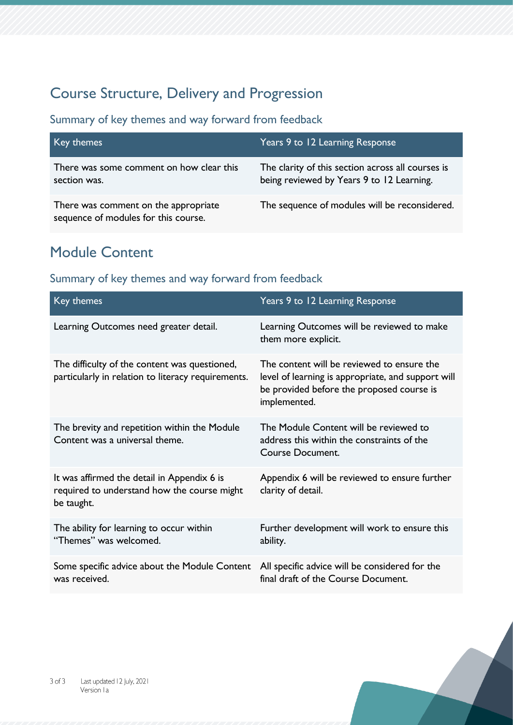# Course Structure, Delivery and Progression

Summary of key themes and way forward from feedback

| Key themes                                                                   | Years 9 to 12 Learning Response                                                                |
|------------------------------------------------------------------------------|------------------------------------------------------------------------------------------------|
| There was some comment on how clear this<br>section was.                     | The clarity of this section across all courses is<br>being reviewed by Years 9 to 12 Learning. |
| There was comment on the appropriate<br>sequence of modules for this course. | The sequence of modules will be reconsidered.                                                  |

### Module Content

| Key themes                                                                                               | Years 9 to 12 Learning Response                                                                                                                               |
|----------------------------------------------------------------------------------------------------------|---------------------------------------------------------------------------------------------------------------------------------------------------------------|
| Learning Outcomes need greater detail.                                                                   | Learning Outcomes will be reviewed to make<br>them more explicit.                                                                                             |
| The difficulty of the content was questioned,<br>particularly in relation to literacy requirements.      | The content will be reviewed to ensure the<br>level of learning is appropriate, and support will<br>be provided before the proposed course is<br>implemented. |
| The brevity and repetition within the Module<br>Content was a universal theme.                           | The Module Content will be reviewed to<br>address this within the constraints of the<br><b>Course Document.</b>                                               |
| It was affirmed the detail in Appendix 6 is<br>required to understand how the course might<br>be taught. | Appendix 6 will be reviewed to ensure further<br>clarity of detail.                                                                                           |
| The ability for learning to occur within<br>"Themes" was welcomed.                                       | Further development will work to ensure this<br>ability.                                                                                                      |
| Some specific advice about the Module Content<br>was received.                                           | All specific advice will be considered for the<br>final draft of the Course Document.                                                                         |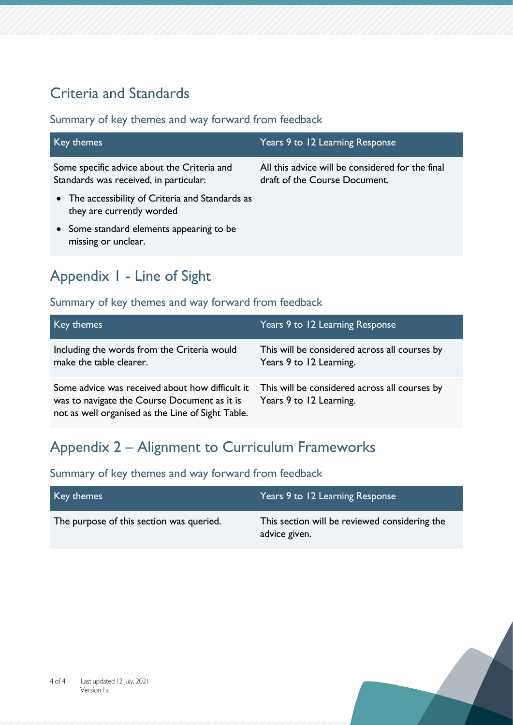# Criteria and Standards

#### Summary of key themes and way forward from feedback

| Key themes                                                                            | Years 9 to 12 Learning Response                                                   |
|---------------------------------------------------------------------------------------|-----------------------------------------------------------------------------------|
| Some specific advice about the Criteria and<br>Standards was received, in particular: | All this advice will be considered for the final<br>draft of the Course Document. |
| • The accessibility of Criteria and Standards as<br>they are currently worded         |                                                                                   |
| • Some standard elements appearing to be<br>missing or unclear.                       |                                                                                   |

# Appendix 1 - Line of Sight

### Summary of key themes and way forward from feedback

| Key themes                                                                                                                                           | Years 9 to 12 Learning Response                                          |
|------------------------------------------------------------------------------------------------------------------------------------------------------|--------------------------------------------------------------------------|
| Including the words from the Criteria would<br>make the table clearer.                                                                               | This will be considered across all courses by<br>Years 9 to 12 Learning. |
| Some advice was received about how difficult it<br>was to navigate the Course Document as it is<br>not as well organised as the Line of Sight Table. | This will be considered across all courses by<br>Years 9 to 12 Learning. |

# Appendix 2 – Alignment to Curriculum Frameworks

| Key themes                               | Years 9 to 12 Learning Response                                |
|------------------------------------------|----------------------------------------------------------------|
| The purpose of this section was queried. | This section will be reviewed considering the<br>advice given. |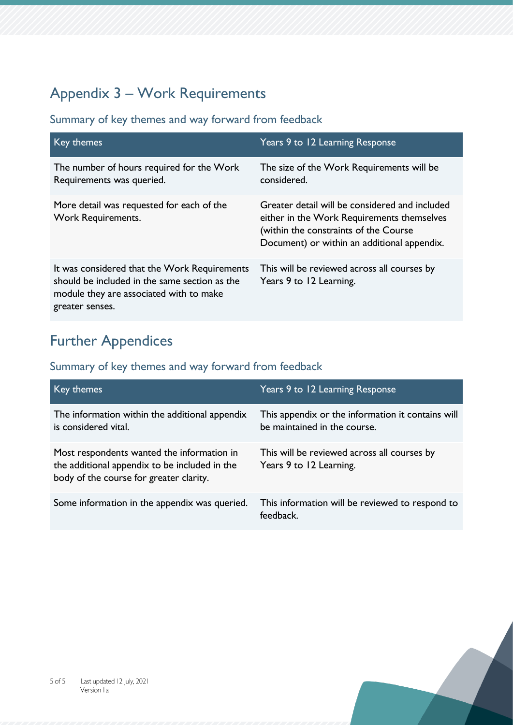# Appendix 3 – Work Requirements

Summary of key themes and way forward from feedback

| Key themes                                                                                                                                                  | Years 9 to 12 Learning Response                                                                                                                                                      |
|-------------------------------------------------------------------------------------------------------------------------------------------------------------|--------------------------------------------------------------------------------------------------------------------------------------------------------------------------------------|
| The number of hours required for the Work<br>Requirements was queried.                                                                                      | The size of the Work Requirements will be<br>considered.                                                                                                                             |
| More detail was requested for each of the<br><b>Work Requirements.</b>                                                                                      | Greater detail will be considered and included<br>either in the Work Requirements themselves<br>(within the constraints of the Course<br>Document) or within an additional appendix. |
| It was considered that the Work Requirements<br>should be included in the same section as the<br>module they are associated with to make<br>greater senses. | This will be reviewed across all courses by<br>Years 9 to 12 Learning.                                                                                                               |

# Further Appendices

| Key themes                                                                                                                             | Years 9 to 12 Learning Response                                                   |
|----------------------------------------------------------------------------------------------------------------------------------------|-----------------------------------------------------------------------------------|
| The information within the additional appendix<br>is considered vital.                                                                 | This appendix or the information it contains will<br>be maintained in the course. |
| Most respondents wanted the information in<br>the additional appendix to be included in the<br>body of the course for greater clarity. | This will be reviewed across all courses by<br>Years 9 to 12 Learning.            |
| Some information in the appendix was queried.                                                                                          | This information will be reviewed to respond to<br>feedback.                      |